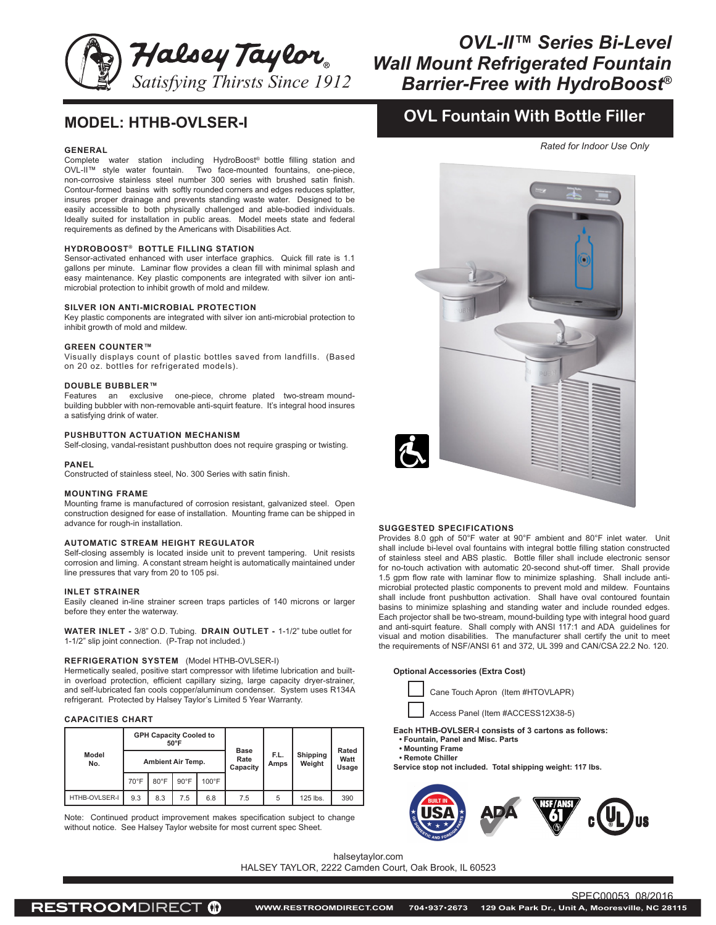

# *OVL-II™ Series Bi-Level Wall Mount Refrigerated Fountain Barrier-Free with HydroBoost®*

## **MODEL: HTHB-OVLSER-I**

### **GENERAL**

Complete water station including HydroBoost® bottle filling station and OVL-II™ style water fountain. Two face-mounted fountains, one-piece, non-corrosive stainless steel number 300 series with brushed satin finish. Contour-formed basins with softly rounded corners and edges reduces splatter, insures proper drainage and prevents standing waste water. Designed to be easily accessible to both physically challenged and able-bodied individuals. Ideally suited for installation in public areas. Model meets state and federal requirements as defined by the Americans with Disabilities Act.

## **HYDROBOOST® BOTTLE FILLING STATION**

Sensor-activated enhanced with user interface graphics. Quick fill rate is 1.1 gallons per minute. Laminar flow provides a clean fill with minimal splash and easy maintenance. Key plastic components are integrated with silver ion antimicrobial protection to inhibit growth of mold and mildew.

#### **SILVER ION ANTI-MICROBIAL PROTECTION**

Key plastic components are integrated with silver ion anti-microbial protection to inhibit growth of mold and mildew.

### **GREEN COUNTER™**

Visually displays count of plastic bottles saved from landfills. (Based on 20 oz. bottles for refrigerated models).

#### **DOUBLE BUBBLER™**

Features an exclusive one-piece, chrome plated two-stream moundbuilding bubbler with non-removable anti-squirt feature. It's integral hood insures a satisfying drink of water.

## **PUSHBUTTON ACTUATION MECHANISM**

Self-closing, vandal-resistant pushbutton does not require grasping or twisting.

#### **PANEL**

Constructed of stainless steel, No. 300 Series with satin finish.

## **MOUNTING FRAME**

Mounting frame is manufactured of corrosion resistant, galvanized steel. Open construction designed for ease of installation. Mounting frame can be shipped in advance for rough-in installation.

#### **AUTOMATIC STREAM HEIGHT REGULATOR**

Self-closing assembly is located inside unit to prevent tampering. Unit resists corrosion and liming. A constant stream height is automatically maintained under line pressures that vary from 20 to 105 psi.

#### **INLET STRAINER**

Easily cleaned in-line strainer screen traps particles of 140 microns or larger before they enter the waterway.

**WATER INLET -** 3/8" O.D. Tubing. **DRAIN OUTLET -** 1-1/2" tube outlet for 1-1/2" slip joint connection. (P-Trap not included.)

## **REFRIGERATION SYSTEM** (Model HTHB-OVLSER-I)

Hermetically sealed, positive start compressor with lifetime lubrication and builtin overload protection, efficient capillary sizing, large capacity dryer-strainer, and self-lubricated fan cools copper/aluminum condenser. System uses R134A refrigerant. Protected by Halsey Taylor's Limited 5 Year Warranty.

## **CAPACITIES CHART**

| Model<br>No.  | <b>GPH Capacity Cooled to</b><br>$50^{\circ}$ F |                |                |                 | <b>Base</b><br>Rate<br>Capacity | F.L.<br>Amps | Shipping<br>Weight | Rated<br>Watt<br>Usage |
|---------------|-------------------------------------------------|----------------|----------------|-----------------|---------------------------------|--------------|--------------------|------------------------|
|               | <b>Ambient Air Temp.</b>                        |                |                |                 |                                 |              |                    |                        |
|               | $70^{\circ}$ F                                  | $80^{\circ}$ F | $90^{\circ}$ F | $100^{\circ}$ F |                                 |              |                    |                        |
| HTHB-OVLSER-I | 9.3                                             | 8.3            | 7.5            | 6.8             | 7.5                             | 5            | 125 lbs.           | 390                    |

Note: Continued product improvement makes specification subject to change without notice. See Halsey Taylor website for most current spec Sheet.

## **OVL Fountain With Bottle Filler**

*Rated for Indoor Use Only*



#### **SUGGESTED SPECIFICATIONS**

Provides 8.0 gph of 50°F water at 90°F ambient and 80°F inlet water. Unit shall include bi-level oval fountains with integral bottle filling station constructed of stainless steel and ABS plastic. Bottle filler shall include electronic sensor for no-touch activation with automatic 20-second shut-off timer. Shall provide 1.5 gpm flow rate with laminar flow to minimize splashing. Shall include antimicrobial protected plastic components to prevent mold and mildew. Fountains shall include front pushbutton activation. Shall have oval contoured fountain basins to minimize splashing and standing water and include rounded edges. Each projector shall be two-stream, mound-building type with integral hood guard and anti-squirt feature. Shall comply with ANSI 117:1 and ADA guidelines for visual and motion disabilities. The manufacturer shall certify the unit to meet the requirements of NSF/ANSI 61 and 372, UL 399 and CAN/CSA 22.2 No. 120.

**Optional Accessories (Extra Cost)**

Cane Touch Apron (Item #HTOVLAPR)

Access Panel (Item #ACCESS12X38-5)

**Each HTHB-OVLSER-I consists of 3 cartons as follows:**

**• Fountain, Panel and Misc. Parts**

**• Mounting Frame • Remote Chiller**

**Service stop not included. Total shipping weight: 117 lbs.**



SPEC00053 08/2016

halseytaylor.com

HALSEY TAYLOR, 2222 Camden Court, Oak Brook, IL 60523